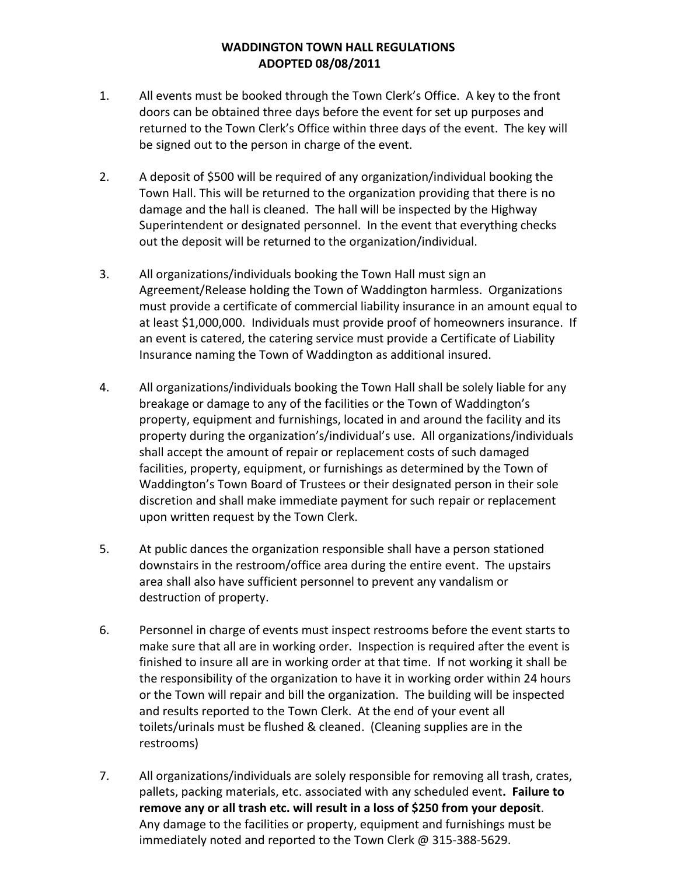### **WADDINGTON TOWN HALL REGULATIONS ADOPTED 08/08/2011**

- 1. All events must be booked through the Town Clerk's Office. A key to the front doors can be obtained three days before the event for set up purposes and returned to the Town Clerk's Office within three days of the event. The key will be signed out to the person in charge of the event.
- 2. A deposit of \$500 will be required of any organization/individual booking the Town Hall. This will be returned to the organization providing that there is no damage and the hall is cleaned. The hall will be inspected by the Highway Superintendent or designated personnel. In the event that everything checks out the deposit will be returned to the organization/individual.
- 3. All organizations/individuals booking the Town Hall must sign an Agreement/Release holding the Town of Waddington harmless. Organizations must provide a certificate of commercial liability insurance in an amount equal to at least \$1,000,000. Individuals must provide proof of homeowners insurance. If an event is catered, the catering service must provide a Certificate of Liability Insurance naming the Town of Waddington as additional insured.
- 4. All organizations/individuals booking the Town Hall shall be solely liable for any breakage or damage to any of the facilities or the Town of Waddington's property, equipment and furnishings, located in and around the facility and its property during the organization's/individual's use. All organizations/individuals shall accept the amount of repair or replacement costs of such damaged facilities, property, equipment, or furnishings as determined by the Town of Waddington's Town Board of Trustees or their designated person in their sole discretion and shall make immediate payment for such repair or replacement upon written request by the Town Clerk.
- 5. At public dances the organization responsible shall have a person stationed downstairs in the restroom/office area during the entire event. The upstairs area shall also have sufficient personnel to prevent any vandalism or destruction of property.
- 6. Personnel in charge of events must inspect restrooms before the event starts to make sure that all are in working order. Inspection is required after the event is finished to insure all are in working order at that time. If not working it shall be the responsibility of the organization to have it in working order within 24 hours or the Town will repair and bill the organization. The building will be inspected and results reported to the Town Clerk. At the end of your event all toilets/urinals must be flushed & cleaned. (Cleaning supplies are in the restrooms)
- 7. All organizations/individuals are solely responsible for removing all trash, crates, pallets, packing materials, etc. associated with any scheduled event**. Failure to remove any or all trash etc. will result in a loss of \$250 from your deposit**. Any damage to the facilities or property, equipment and furnishings must be immediately noted and reported to the Town Clerk @ 315-388-5629.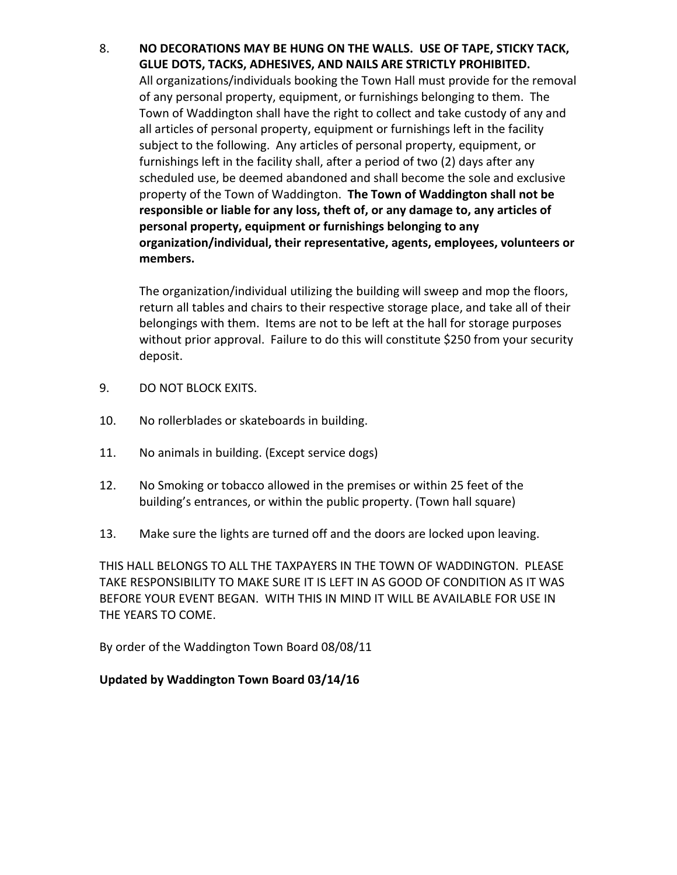# 8. **NO DECORATIONS MAY BE HUNG ON THE WALLS. USE OF TAPE, STICKY TACK, GLUE DOTS, TACKS, ADHESIVES, AND NAILS ARE STRICTLY PROHIBITED.**

All organizations/individuals booking the Town Hall must provide for the removal of any personal property, equipment, or furnishings belonging to them. The Town of Waddington shall have the right to collect and take custody of any and all articles of personal property, equipment or furnishings left in the facility subject to the following. Any articles of personal property, equipment, or furnishings left in the facility shall, after a period of two (2) days after any scheduled use, be deemed abandoned and shall become the sole and exclusive property of the Town of Waddington. **The Town of Waddington shall not be responsible or liable for any loss, theft of, or any damage to, any articles of personal property, equipment or furnishings belonging to any organization/individual, their representative, agents, employees, volunteers or members.**

The organization/individual utilizing the building will sweep and mop the floors, return all tables and chairs to their respective storage place, and take all of their belongings with them. Items are not to be left at the hall for storage purposes without prior approval. Failure to do this will constitute \$250 from your security deposit.

- 9. DO NOT BLOCK EXITS.
- 10. No rollerblades or skateboards in building.
- 11. No animals in building. (Except service dogs)
- 12. No Smoking or tobacco allowed in the premises or within 25 feet of the building's entrances, or within the public property. (Town hall square)
- 13. Make sure the lights are turned off and the doors are locked upon leaving.

THIS HALL BELONGS TO ALL THE TAXPAYERS IN THE TOWN OF WADDINGTON. PLEASE TAKE RESPONSIBILITY TO MAKE SURE IT IS LEFT IN AS GOOD OF CONDITION AS IT WAS BEFORE YOUR EVENT BEGAN. WITH THIS IN MIND IT WILL BE AVAILABLE FOR USE IN THE YEARS TO COME.

By order of the Waddington Town Board 08/08/11

# **Updated by Waddington Town Board 03/14/16**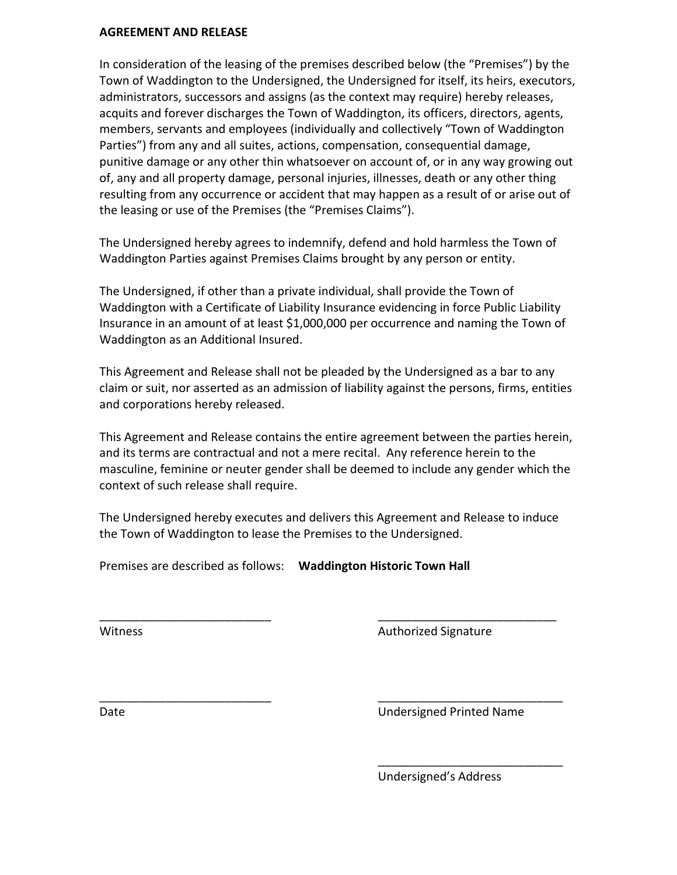#### **AGREEMENT AND RELEASE**

In consideration of the leasing of the premises described below (the "Premises") by the Town of Waddington to the Undersigned, the Undersigned for itself, its heirs, executors, administrators, successors and assigns (as the context may require) hereby releases, acquits and forever discharges the Town of Waddington, its officers, directors, agents, members, servants and employees (individually and collectively "Town of Waddington Parties") from any and all suites, actions, compensation, consequential damage, punitive damage or any other thin whatsoever on account of, or in any way growing out of, any and all property damage, personal injuries, illnesses, death or any other thing resulting from any occurrence or accident that may happen as a result of or arise out of the leasing or use of the Premises (the "Premises Claims").

The Undersigned hereby agrees to indemnify, defend and hold harmless the Town of Waddington Parties against Premises Claims brought by any person or entity.

The Undersigned, if other than a private individual, shall provide the Town of Waddington with a Certificate of Liability Insurance evidencing in force Public Liability Insurance in an amount of at least \$1,000,000 per occurrence and naming the Town of Waddington as an Additional Insured.

This Agreement and Release shall not be pleaded by the Undersigned as a bar to any claim or suit, nor asserted as an admission of liability against the persons, firms, entities and corporations hereby released.

This Agreement and Release contains the entire agreement between the parties herein, and its terms are contractual and not a mere recital. Any reference herein to the masculine, feminine or neuter gender shall be deemed to include any gender which the context of such release shall require.

The Undersigned hereby executes and delivers this Agreement and Release to induce the Town of Waddington to lease the Premises to the Undersigned.

\_\_\_\_\_\_\_\_\_\_\_\_\_\_\_\_\_\_\_\_\_\_\_\_\_\_ \_\_\_\_\_\_\_\_\_\_\_\_\_\_\_\_\_\_\_\_\_\_\_\_\_\_\_

\_\_\_\_\_\_\_\_\_\_\_\_\_\_\_\_\_\_\_\_\_\_\_\_\_\_ \_\_\_\_\_\_\_\_\_\_\_\_\_\_\_\_\_\_\_\_\_\_\_\_\_\_\_\_

Premises are described as follows: **Waddington Historic Town Hall**

Witness **Authorized Signature** Authorized Signature

Date Undersigned Printed Name

\_\_\_\_\_\_\_\_\_\_\_\_\_\_\_\_\_\_\_\_\_\_\_\_\_\_\_\_

Undersigned's Address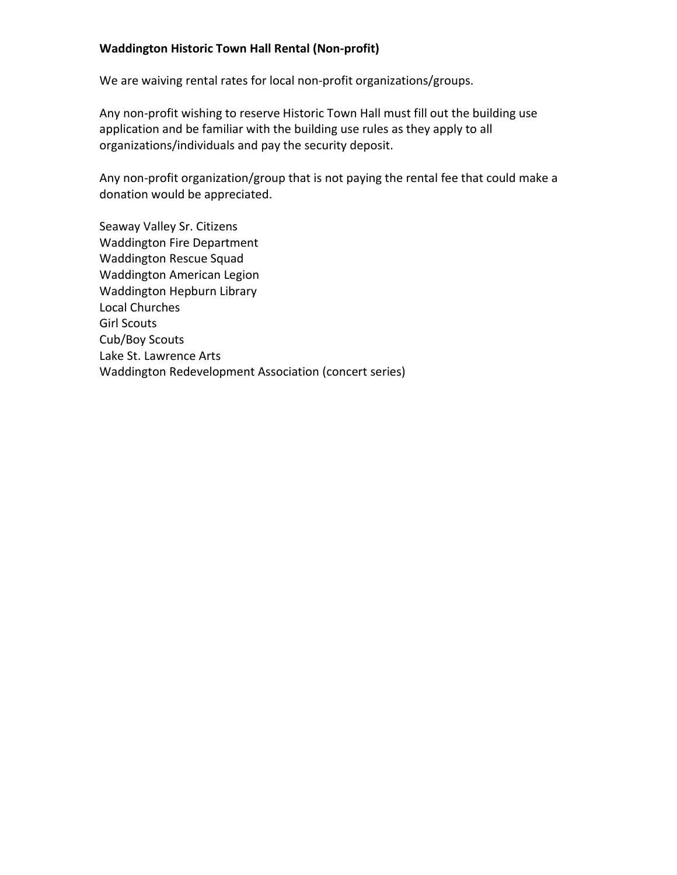### **Waddington Historic Town Hall Rental (Non-profit)**

We are waiving rental rates for local non-profit organizations/groups.

Any non-profit wishing to reserve Historic Town Hall must fill out the building use application and be familiar with the building use rules as they apply to all organizations/individuals and pay the security deposit.

Any non-profit organization/group that is not paying the rental fee that could make a donation would be appreciated.

Seaway Valley Sr. Citizens Waddington Fire Department Waddington Rescue Squad Waddington American Legion Waddington Hepburn Library Local Churches Girl Scouts Cub/Boy Scouts Lake St. Lawrence Arts Waddington Redevelopment Association (concert series)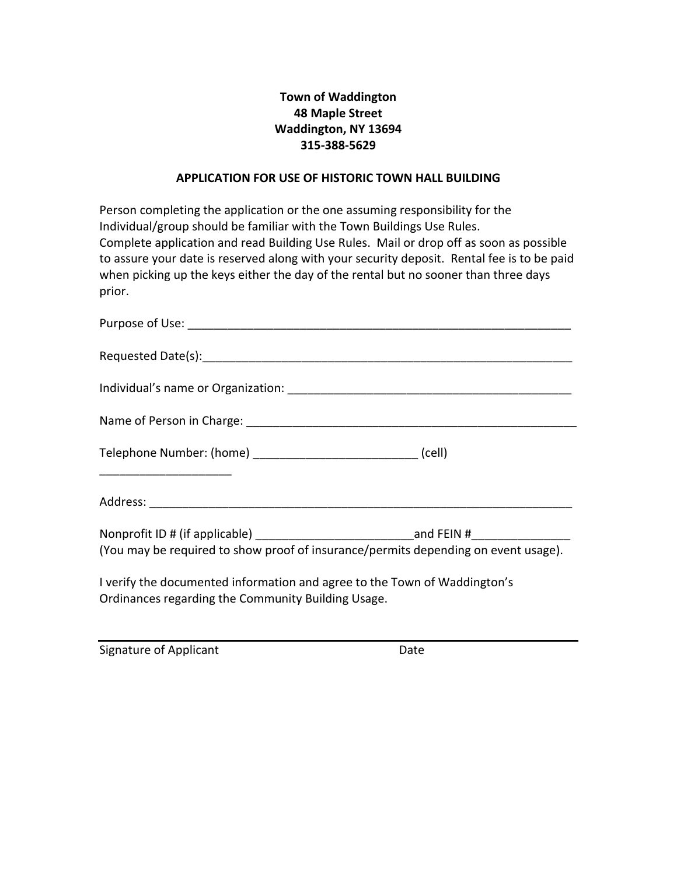# **Town of Waddington 48 Maple Street Waddington, NY 13694 315-388-5629**

#### **APPLICATION FOR USE OF HISTORIC TOWN HALL BUILDING**

Person completing the application or the one assuming responsibility for the Individual/group should be familiar with the Town Buildings Use Rules. Complete application and read Building Use Rules. Mail or drop off as soon as possible to assure your date is reserved along with your security deposit. Rental fee is to be paid when picking up the keys either the day of the rental but no sooner than three days prior.

| Telephone Number: (home) _______________________________ (cell)                                                                 |  |  |
|---------------------------------------------------------------------------------------------------------------------------------|--|--|
|                                                                                                                                 |  |  |
| (You may be required to show proof of insurance/permits depending on event usage).                                              |  |  |
| I verify the documented information and agree to the Town of Waddington's<br>Ordinances regarding the Community Building Usage. |  |  |

Signature of Applicant Date